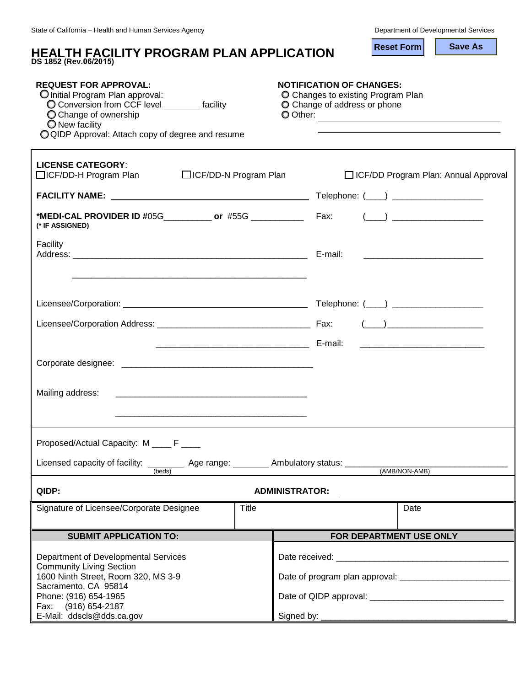| <b>HEALTH FACILITY PROGRAM PLAN APPLICATION</b><br>DS 1852 (Rev.06/2015)                                                                                                                                         | <b>Save As</b><br><b>Reset Form</b>                                                                               |
|------------------------------------------------------------------------------------------------------------------------------------------------------------------------------------------------------------------|-------------------------------------------------------------------------------------------------------------------|
| <b>REQUEST FOR APPROVAL:</b><br>O Initial Program Plan approval:<br>O Conversion from CCF level ________ facility<br>O Change of ownership<br>O New facility<br>OQIDP Approval: Attach copy of degree and resume | <b>NOTIFICATION OF CHANGES:</b><br>O Changes to existing Program Plan<br>O Change of address or phone<br>O Other: |
| <b>LICENSE CATEGORY:</b><br>□ICF/DD-N Program Plan<br>□ICF/DD-H Program Plan                                                                                                                                     | <b>ICF/DD Program Plan: Annual Approval</b>                                                                       |
|                                                                                                                                                                                                                  |                                                                                                                   |
| *MEDI-CAL PROVIDER ID #05G_____________ or #55G ________________ Fax: (___) _______________________<br>(* IF ASSIGNED)                                                                                           |                                                                                                                   |
| Facility<br>Address: E-mail:                                                                                                                                                                                     |                                                                                                                   |
|                                                                                                                                                                                                                  |                                                                                                                   |
|                                                                                                                                                                                                                  |                                                                                                                   |
|                                                                                                                                                                                                                  |                                                                                                                   |
|                                                                                                                                                                                                                  |                                                                                                                   |
| Mailing address:                                                                                                                                                                                                 |                                                                                                                   |
| Proposed/Actual Capacity: M ____ F ____<br>Licensed capacity of facility: ___________ Age range: _________ Ambulatory status: ________________                                                                   |                                                                                                                   |
| (beds)                                                                                                                                                                                                           | (AMB/NON-AMB)                                                                                                     |
| QIDP:                                                                                                                                                                                                            | <b>ADMINISTRATOR:</b>                                                                                             |
| Signature of Licensee/Corporate Designee<br><b>Title</b>                                                                                                                                                         | Date                                                                                                              |
| <b>SUBMIT APPLICATION TO:</b>                                                                                                                                                                                    | FOR DEPARTMENT USE ONLY                                                                                           |
| Department of Developmental Services                                                                                                                                                                             |                                                                                                                   |
| <b>Community Living Section</b><br>1600 Ninth Street, Room 320, MS 3-9                                                                                                                                           |                                                                                                                   |
| Sacramento, CA 95814<br>Phone: (916) 654-1965                                                                                                                                                                    |                                                                                                                   |
| Fax: (916) 654-2187<br>E-Mail: ddscls@dds.ca.gov                                                                                                                                                                 |                                                                                                                   |